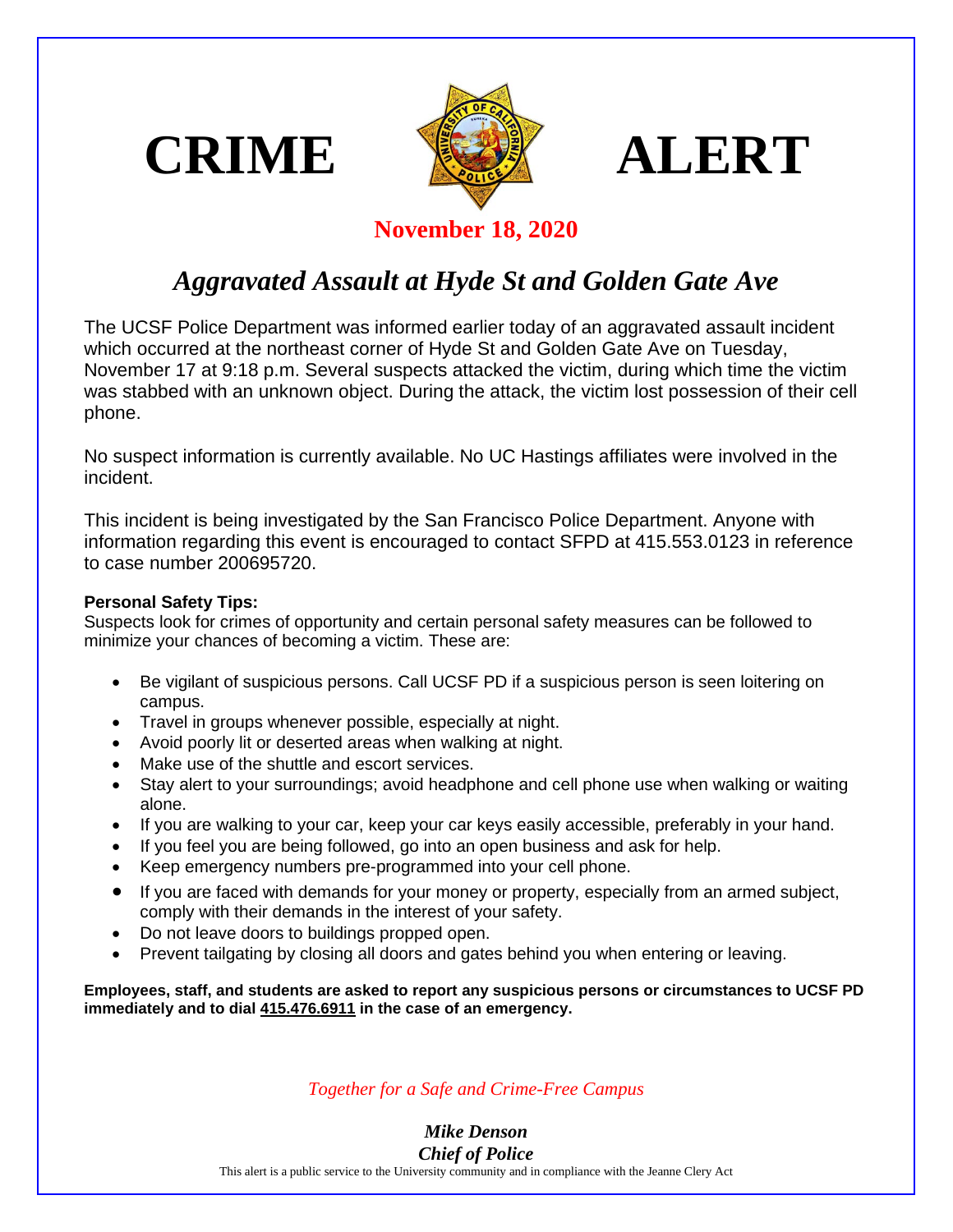





## **November 18, 2020**

## *Aggravated Assault at Hyde St and Golden Gate Ave*

The UCSF Police Department was informed earlier today of an aggravated assault incident which occurred at the northeast corner of Hyde St and Golden Gate Ave on Tuesday, November 17 at 9:18 p.m. Several suspects attacked the victim, during which time the victim was stabbed with an unknown object. During the attack, the victim lost possession of their cell phone.

No suspect information is currently available. No UC Hastings affiliates were involved in the incident.

This incident is being investigated by the San Francisco Police Department. Anyone with information regarding this event is encouraged to contact SFPD at 415.553.0123 in reference to case number 200695720.

## **Personal Safety Tips:**

Suspects look for crimes of opportunity and certain personal safety measures can be followed to minimize your chances of becoming a victim. These are:

- Be vigilant of suspicious persons. Call UCSF PD if a suspicious person is seen loitering on campus.
- Travel in groups whenever possible, especially at night.
- Avoid poorly lit or deserted areas when walking at night.
- Make use of the shuttle and escort services.
- Stay alert to your surroundings; avoid headphone and cell phone use when walking or waiting alone.
- If you are walking to your car, keep your car keys easily accessible, preferably in your hand.
- If you feel you are being followed, go into an open business and ask for help.
- Keep emergency numbers pre-programmed into your cell phone.
- If you are faced with demands for your money or property, especially from an armed subject, comply with their demands in the interest of your safety.
- Do not leave doors to buildings propped open.
- Prevent tailgating by closing all doors and gates behind you when entering or leaving.

**Employees, staff, and students are asked to report any suspicious persons or circumstances to UCSF PD immediately and to dial 415.476.6911 in the case of an emergency.**

*Together for a Safe and Crime-Free Campus*

*Mike Denson Chief of Police*

This alert is a public service to the University community and in compliance with the Jeanne Clery Act